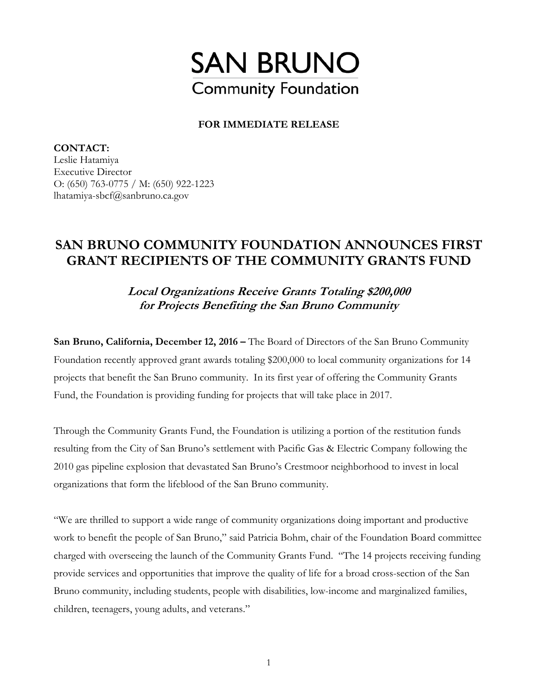

## **FOR IMMEDIATE RELEASE**

**CONTACT:**  Leslie Hatamiya Executive Director O: (650) 763-0775 / M: (650) 922-1223 lhatamiya-sbcf@sanbruno.ca.gov

## **SAN BRUNO COMMUNITY FOUNDATION ANNOUNCES FIRST GRANT RECIPIENTS OF THE COMMUNITY GRANTS FUND**

**Local Organizations Receive Grants Totaling \$200,000 for Projects Benefiting the San Bruno Community** 

**San Bruno, California, December 12, 2016 –** The Board of Directors of the San Bruno Community Foundation recently approved grant awards totaling \$200,000 to local community organizations for 14 projects that benefit the San Bruno community. In its first year of offering the Community Grants Fund, the Foundation is providing funding for projects that will take place in 2017.

Through the Community Grants Fund, the Foundation is utilizing a portion of the restitution funds resulting from the City of San Bruno's settlement with Pacific Gas & Electric Company following the 2010 gas pipeline explosion that devastated San Bruno's Crestmoor neighborhood to invest in local organizations that form the lifeblood of the San Bruno community.

"We are thrilled to support a wide range of community organizations doing important and productive work to benefit the people of San Bruno," said Patricia Bohm, chair of the Foundation Board committee charged with overseeing the launch of the Community Grants Fund. "The 14 projects receiving funding provide services and opportunities that improve the quality of life for a broad cross-section of the San Bruno community, including students, people with disabilities, low-income and marginalized families, children, teenagers, young adults, and veterans."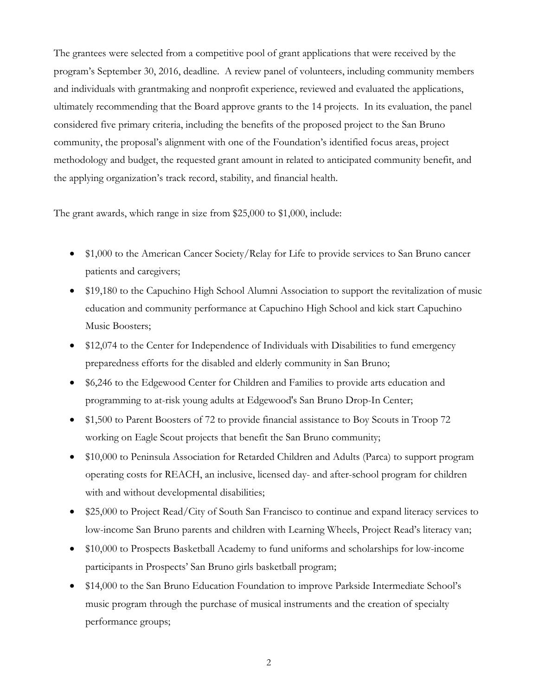The grantees were selected from a competitive pool of grant applications that were received by the program's September 30, 2016, deadline. A review panel of volunteers, including community members and individuals with grantmaking and nonprofit experience, reviewed and evaluated the applications, ultimately recommending that the Board approve grants to the 14 projects. In its evaluation, the panel considered five primary criteria, including the benefits of the proposed project to the San Bruno community, the proposal's alignment with one of the Foundation's identified focus areas, project methodology and budget, the requested grant amount in related to anticipated community benefit, and the applying organization's track record, stability, and financial health.

The grant awards, which range in size from \$25,000 to \$1,000, include:

- \$1,000 to the American Cancer Society/Relay for Life to provide services to San Bruno cancer patients and caregivers;
- \$19,180 to the Capuchino High School Alumni Association to support the revitalization of music education and community performance at Capuchino High School and kick start Capuchino Music Boosters;
- \$12,074 to the Center for Independence of Individuals with Disabilities to fund emergency preparedness efforts for the disabled and elderly community in San Bruno;
- \$6,246 to the Edgewood Center for Children and Families to provide arts education and programming to at-risk young adults at Edgewood's San Bruno Drop-In Center;
- \$1,500 to Parent Boosters of 72 to provide financial assistance to Boy Scouts in Troop 72 working on Eagle Scout projects that benefit the San Bruno community;
- \$10,000 to Peninsula Association for Retarded Children and Adults (Parca) to support program operating costs for REACH, an inclusive, licensed day- and after-school program for children with and without developmental disabilities;
- \$25,000 to Project Read/City of South San Francisco to continue and expand literacy services to low-income San Bruno parents and children with Learning Wheels, Project Read's literacy van;
- \$10,000 to Prospects Basketball Academy to fund uniforms and scholarships for low-income participants in Prospects' San Bruno girls basketball program;
- \$14,000 to the San Bruno Education Foundation to improve Parkside Intermediate School's music program through the purchase of musical instruments and the creation of specialty performance groups;